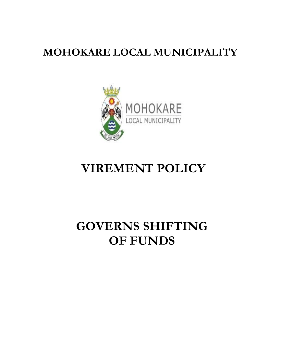## **MOHOKARE LOCAL MUNICIPALITY**



## **VIREMENT POLICY**

# **GOVERNS SHIFTING OF FUNDS**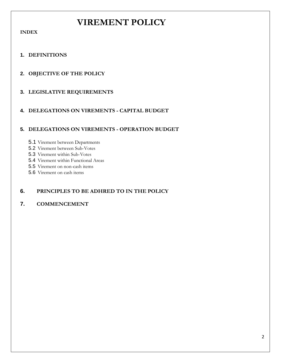### **VIREMENT POLICY**

**INDEX**

#### **1. DEFINITIONS**

#### **2. OBJECTIVE OF THE POLICY**

### **3. LEGISLATIVE REQUIREMENTS**

#### **4. DELEGATIONS ON VIREMENTS - CAPITAL BUDGET**

#### **5. DELEGATIONS ON VIREMENTS - OPERATION BUDGET**

- 5.1 Virement between Departments
- 5.2 Virement between Sub-Votes
- 5.3 Virement within Sub-Votes
- 5.4 Virement within Functional Areas
- 5.5 Virement on non-cash items
- 5.6 Virement on cash items

#### **6. PRINCIPLES TO BE ADHRED TO IN THE POLICY**

#### **7. COMMENCEMENT**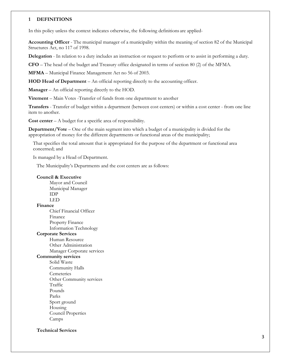#### **1 DEFINITIONS**

In this policy unless the context indicates otherwise, the following definitions are applied-

**Accounting Officer** - The municipal manager of a municipality within the meaning of section 82 of the Municipal Structures Act, no 117 of 1998.

**Delegation** - In relation to a duty includes an instruction or request to perform or to assist in performing a duty.

**CFO** – The head of the budget and Treasury office designated in terms of section 80 (2) of the MFMA.

**MFMA** – Municipal Finance Management Act no 56 of 2003.

**HOD Head of Department** – An official reporting directly to the accounting officer.

**Manager** – An official reporting directly to the HOD.

**Virement** – Main Votes -Transfer of funds from one department to another

**Transfers** - Transfer of budget within a department (between cost centers) or within a cost center - from one line item to another.

**Cost center** – A budget for a specific area of responsibility.

**Department/Vote** – One of the main segment into which a budget of a municipality is divided for the appropriation of money for the different departments or functional areas of the municipality;

That specifies the total amount that is appropriated for the purpose of the department or functional area concerned; and

Is managed by a Head of Department.

The Municipality's Departments and the cost centers are as follows:

#### **Council & Executive**

Mayor and Council Municipal Manager IDP LED **Finance** Chief Financial Officer Finance Property Finance Information Technology **Corporate Services** Human Resource Other Administration Manager Corporate services **Community services** Solid Waste Community Halls **Cemeteries** Other Community services Traffic Pounds Parks Sport ground Housing Council Properties Camps

#### **Technical Services**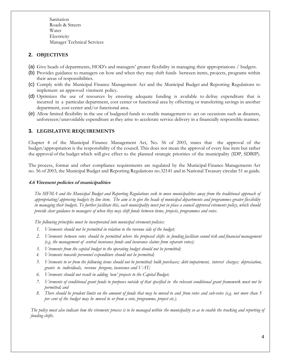Sanitation Roads & Streets Water **Electricity** Manager Technical Services

#### **2. OBJECTIVES**

- (a) Give heads of departments, HOD's and managers' greater flexibility in managing their appropriations / budgets.
- (b) Provides guidance to managers on how and when they may shift funds between items, projects, programs within their areas of responsibilities.
- (c) Comply with the Municipal Finance Management Act and the Municipal Budget and Reporting Regulations to implement an approved virement policy.
- (d) Optimizes the use of resources by ensuring adequate funding is available to defray expenditure that is incurred in a particular department, cost center or functional area by offsetting or transferring savings in another department, cost center and/or functional area.
- (e) Allow limited flexibility in the use of budgeted funds to enable management to act on occasions such as disasters, unforeseen/unavoidable expenditure asthey arise to accelerate service delivery in a financially responsible manner.

#### **3. LEGISLATIVE REQUIREMENTS**

Chapter 4 of the Municipal Finance Management Act, No. 56 of 2003, states that the approval of the budget/appropriation is the responsibility of the council. This does not mean the approval of every line item but rather the approval of the budget which will give effect to the planned strategic priorities of the municipality (IDP, SDBIP).

The process, format and other compliance requirements are regulated by the Municipal Finance Managements Act no. 56 of 2003, the Municipal Budget and Reporting Regulations no.32141 and in National Treasury circular 51 as guide.

#### **4.6 Virement policies of municipalities**

*The MFMA and the Municipal Budget and Reporting Regulations seek to move municipalities away from the traditional approach of appropriating/approving budgets by line item. The aim is to give the heads of municipal departments and programmes greater flexibility in managing their budgets. To further facilitate this, each municipality must put in place a council approved virements policy, which should provide clear guidance to managers of when they may shift funds between items, projects, programmes and votes.*

*The following principles must be incorporated into municipal virements policies:*

- *1. Virements should not be permitted in relation to the revenue side of the budget;*
- 2. Virements between votes should be permitted where the proposed shifts in funding facilitate sound risk and financial management *(e.g. the management of central insurance funds and insurance claims from separate votes);*
- *3. Virements from the capital budget to the operating budget should not be permitted;*
- *4. Virements towards personnel expenditure should not be permitted;*
- *5. Virements to or from the following items should not be permitted: bulk purchases; debt impairment, interest charges; depreciation, grants to individuals, revenue foregone, insurance and VAT;*
- *6. Virements should not result in adding 'new' projects to the Capital Budget;*
- *7. Virements of conditional grant funds to purposes outside of that specified in the relevant conditional grant framework must not be permitted; and*
- *8. There should be prudent limits on the amount of funds that may be moved to and from votes and sub-votes (e.g. not more than 5 per cent of the budget may be moved to or from a vote, programme, project etc.).*

*The policy must also indicate how the virements process is to be managed within the municipality so as to enable the tracking and reporting of funding shifts.*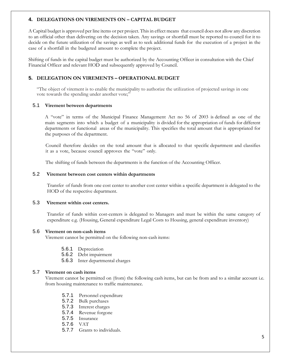#### **4. DELEGATIONS ON VIREMENTS ON – CAPITAL BUDGET**

A Capital budget is approved per line items or per project. This in effect means that council does not allow any discretion to an official other than delivering on the decision taken. Any savings or shortfall must be reported to council for it to decide on the future utilization of the savings as well as to seek additional funds for the execution of a project in the case of a shortfall in the budgeted amount to complete the project.

Shifting of funds in the capital budget must be authorized by the Accounting Officer in consultation with the Chief Financial Officer and relevant HOD and subsequently approved by Council.

#### **5. DELEGATION ON VIREMENTS – OPERATIONAL BUDGET**

"The object of virement is to enable the municipality to authorize the utilization of projected savings in one vote towards the spending under another vote;

#### 5.1 **Virement between departments**

A "vote" in terms of the Municipal Finance Management Act no 56 of 2003 is defined as one of the main segments into which a budget of a municipality is divided for the appropriation of funds for different departments or functional areas of the municipality. This specifies the total amount that is appropriated for the purposes of the department.

Council therefore decides on the total amount that is allocated to that specific department and classifies it as a vote, because council approves the "vote" only.

The shifting of funds between the departments is the function of the Accounting Officer.

#### 5.2 **Virement between cost centers within departments**

Transfer of funds from one cost center to another cost center within a specific department is delegated to the HOD of the respective department.

#### 5.3 **Virement within cost centers.**

Transfer of funds within cost-centers is delegated to Managers and must be within the same category of expenditure e.g. (Housing, General expenditure Legal Costs to Housing, general expenditure inventory)

#### 5.6 **Virement on non-cash items**

Virement cannot be permitted on the following non-cash items:

- 5.6.1 Depreciation
- 5.6.2 Debt impairment
- 5.6.3 Inter departmental charges

#### 5.7 **Virement on cash items**

Virement cannot be permitted on (from) the following cash items, but can be from and to a similar account i.e. from housing maintenance to traffic maintenance.

- 5.7.1 Personnel expenditure
- 5.7.2 Bulk purchases
- 5.7.3 Interest charges
- 5.7.4 Revenue forgone
- 5.7.5 Insurance
- 5.7.6 VAT
- 5.7.7 Grants to individuals.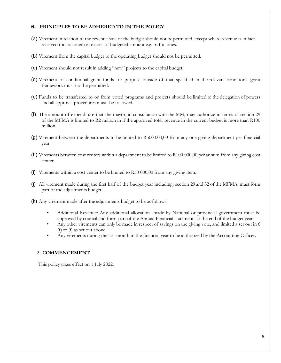#### **6. PRINCIPLES TO BE ADHERED TO IN THE POLICY**

- (a) Virement in relation to the revenue side of the budget should not be permitted, except where revenue is in fact received (not accrued) in excess of budgeted amount e.g. traffic fines.
- (b) Virement from the capital budget to the operating budget should not be permitted.
- (c) Virement should not result in adding "new" projects to the capital budget.
- (d) Virement of conditional grant funds for purpose outside of that specified in the relevant conditional grant framework must not be permitted.
- (e) Funds to be transferred to or from voted programs and projects should be limited to the delegation of powers and all approval procedures must be followed.
- (f) The amount of expenditure that the mayor, in consultation with the MM, may authorize in terms of section 29 of the MFMA is limited to R2 million in if the approved total revenue in the current budget is more than R100 million.
- (g) Virement between the departments to be limited to R500 000,00 from any one giving department per financial year.
- (h) Virements between cost centers within a department to be limited to R100 000,00 per annum from any giving cost center.
- (i) Virements within a cost center to be limited to R50 000,00 from any giving item.
- (j) All virement made during the first half of the budget year including, section 29 and 32 of the MFMA, must form part of the adjustments budget.
- (k) Any virement made after the adjustments budget to be as follows:
	- Additional Revenue: Any additional allocation made by National or provincial government must be approved by council and form part of the Annual Financial statements at the end of the budget year.
	- Any other virements can only be made in respect of savings on the giving vote, and limited a set out in 6 (f) to (i) as set out above.
	- Any virements during the last month in the financial year to be authorized by the Accounting Officer.

#### **7. COMMENCEMENT**

This policy takes effect on 1 July 2022.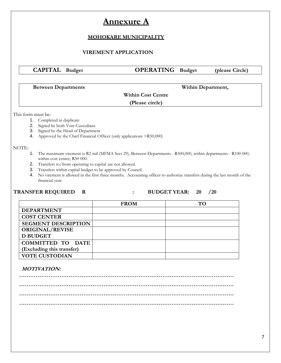### **Annexure A**

### **MOHOKARE MUNICIPALITY**

#### **VIREMENT APPLICATION**

**CAPITAL Budget OPERATING Budget (please Circle)** 

**Between Departments Within Department,**

#### **Within Cost Centre**

**(Please circle)**

This form must be:

- 1. Completed in duplicate
- 2. Signed by both Vote Custodians
- 3. Signed by the Head of Department
- 4. Approved by the Chief Financial Officer (only applications >R50,000)

#### NOTE:

- 1. The maximum virement is R2 mil (MFMA Sect 29), Between Departments R500,000, within departments R100 000, within cost center, R50 000.
- 2. Transfers to/from operating to capital are not allowed.
- 3. Transfers within capital budget to be approved by Council.
- 4. No virement is allowed in the first three months. Accounting officer to authorize transfers during the last month of the financial year.

#### **TRANSFER REQUIRED R : BUDGET YEAR: 20 /20**

### **FROM TO DEPARTMENT COST CENTER SEGMENT DESCRIPTION ORIGINAL/REVISE D BUDGET PROVISION COMMITTED TO DATE (Excluding this transfer) VOTE CUSTODIAN**

#### **MOTIVATION:**